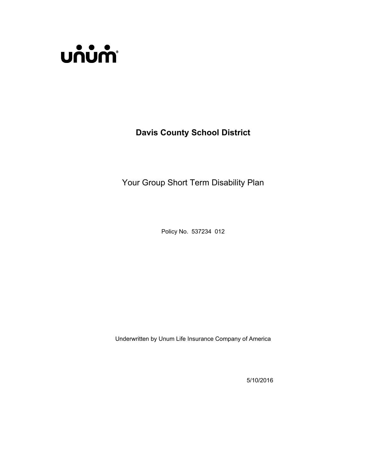

**Davis County School District**

Your Group Short Term Disability Plan

Policy No. 537234 012

Underwritten by Unum Life Insurance Company of America

5/10/2016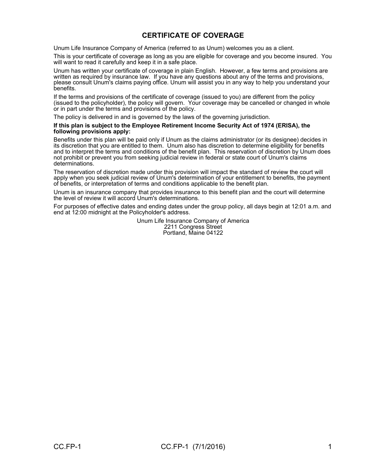# **CERTIFICATE OF COVERAGE**

Unum Life Insurance Company of America (referred to as Unum) welcomes you as a client.

This is your certificate of coverage as long as you are eligible for coverage and you become insured. You will want to read it carefully and keep it in a safe place.

Unum has written your certificate of coverage in plain English. However, a few terms and provisions are written as required by insurance law. If you have any questions about any of the terms and provisions, please consult Unum's claims paying office. Unum will assist you in any way to help you understand your benefits.

If the terms and provisions of the certificate of coverage (issued to you) are different from the policy (issued to the policyholder), the policy will govern. Your coverage may be cancelled or changed in whole or in part under the terms and provisions of the policy.

The policy is delivered in and is governed by the laws of the governing jurisdiction.

#### **If this plan is subject to the Employee Retirement Income Security Act of 1974 (ERISA), the following provisions apply:**

Benefits under this plan will be paid only if Unum as the claims administrator (or its designee) decides in its discretion that you are entitled to them. Unum also has discretion to determine eligibility for benefits and to interpret the terms and conditions of the benefit plan. This reservation of discretion by Unum does not prohibit or prevent you from seeking judicial review in federal or state court of Unum's claims determinations.

The reservation of discretion made under this provision will impact the standard of review the court will apply when you seek judicial review of Unum's determination of your entitlement to benefits, the payment of benefits, or interpretation of terms and conditions applicable to the benefit plan.

Unum is an insurance company that provides insurance to this benefit plan and the court will determine the level of review it will accord Unum's determinations.

For purposes of effective dates and ending dates under the group policy, all days begin at 12:01 a.m. and end at 12:00 midnight at the Policyholder's address.

> Unum Life Insurance Company of America 2211 Congress Street Portland, Maine 04122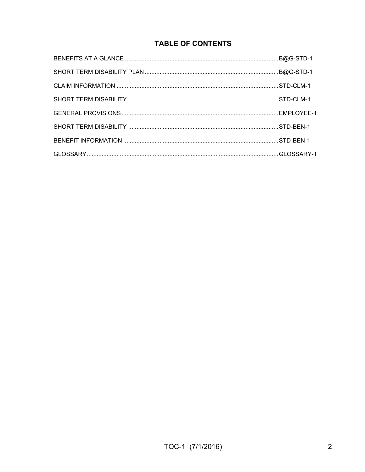# **TABLE OF CONTENTS**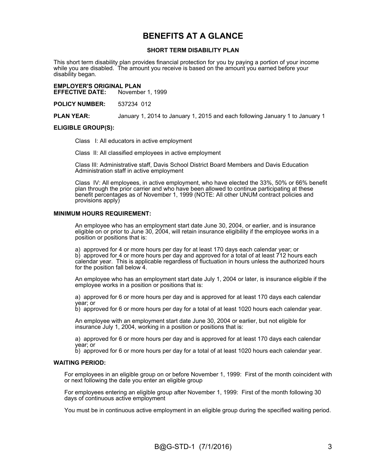# **BENEFITS AT A GLANCE**

#### **SHORT TERM DISABILITY PLAN**

This short term disability plan provides financial protection for you by paying a portion of your income while you are disabled. The amount you receive is based on the amount you earned before your disability began.

**EMPLOYER'S ORIGINAL PLAN November 1, 1999** 

**POLICY NUMBER:** 537234 012

**PLAN YEAR:** January 1, 2014 to January 1, 2015 and each following January 1 to January 1

#### **ELIGIBLE GROUP(S):**

Class I: All educators in active employment

Class II: All classified employees in active employment

Class III: Administrative staff, Davis School District Board Members and Davis Education Administration staff in active employment

Class IV: All employees, in active employment, who have elected the 33%, 50% or 66% benefit plan through the prior carrier and who have been allowed to continue participating at these benefit percentages as of November 1, 1999 (NOTE: All other UNUM contract policies and provisions apply)

#### **MINIMUM HOURS REQUIREMENT:**

An employee who has an employment start date June 30, 2004, or earlier, and is insurance eligible on or prior to June 30, 2004, will retain insurance eligibility if the employee works in a position or positions that is:

a) approved for 4 or more hours per day for at least 170 days each calendar year; or b) approved for 4 or more hours per day and approved for a total of at least 712 hours each calendar year. This is applicable regardless of fluctuation in hours unless the authorized hours for the position fall below 4.

An employee who has an employment start date July 1, 2004 or later, is insurance eligible if the employee works in a position or positions that is:

a) approved for 6 or more hours per day and is approved for at least 170 days each calendar year; or

b) approved for 6 or more hours per day for a total of at least 1020 hours each calendar year.

An employee with an employment start date June 30, 2004 or earlier, but not eligible for insurance July 1, 2004, working in a position or positions that is:

a) approved for 6 or more hours per day and is approved for at least 170 days each calendar year; or

b) approved for 6 or more hours per day for a total of at least 1020 hours each calendar year.

#### **WAITING PERIOD:**

For employees in an eligible group on or before November 1, 1999: First of the month coincident with or next following the date you enter an eligible group

For employees entering an eligible group after November 1, 1999: First of the month following 30 days of continuous active employment

You must be in continuous active employment in an eligible group during the specified waiting period.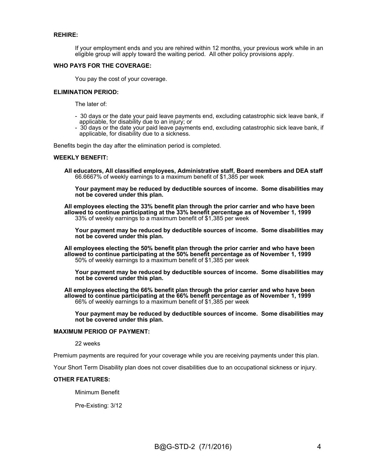#### **REHIRE:**

If your employment ends and you are rehired within 12 months, your previous work while in an eligible group will apply toward the waiting period. All other policy provisions apply.

#### **WHO PAYS FOR THE COVERAGE:**

You pay the cost of your coverage.

#### **ELIMINATION PERIOD:**

The later of:

- 30 days or the date your paid leave payments end, excluding catastrophic sick leave bank, if applicable, for disability due to an injury; or
- 30 days or the date your paid leave payments end, excluding catastrophic sick leave bank, if applicable, for disability due to a sickness.

Benefits begin the day after the elimination period is completed.

#### **WEEKLY BENEFIT:**

**All educators, All classified employees, Administrative staff, Board members and DEA staff** 66.6667% of weekly earnings to a maximum benefit of \$1,385 per week

**Your payment may be reduced by deductible sources of income. Some disabilities may not be covered under this plan.**

**All employees electing the 33% benefit plan through the prior carrier and who have been allowed to continue participating at the 33% benefit percentage as of November 1, 1999** 33% of weekly earnings to a maximum benefit of \$1,385 per week

**Your payment may be reduced by deductible sources of income. Some disabilities may not be covered under this plan.**

**All employees electing the 50% benefit plan through the prior carrier and who have been allowed to continue participating at the 50% benefit percentage as of November 1, 1999** 50% of weekly earnings to a maximum benefit of \$1,385 per week

**Your payment may be reduced by deductible sources of income. Some disabilities may not be covered under this plan.**

**All employees electing the 66% benefit plan through the prior carrier and who have been allowed to continue participating at the 66% benefit percentage as of November 1, 1999** 66% of weekly earnings to a maximum benefit of \$1,385 per week

**Your payment may be reduced by deductible sources of income. Some disabilities may not be covered under this plan.**

#### **MAXIMUM PERIOD OF PAYMENT:**

22 weeks

Premium payments are required for your coverage while you are receiving payments under this plan.

Your Short Term Disability plan does not cover disabilities due to an occupational sickness or injury.

#### **OTHER FEATURES:**

Minimum Benefit

Pre-Existing: 3/12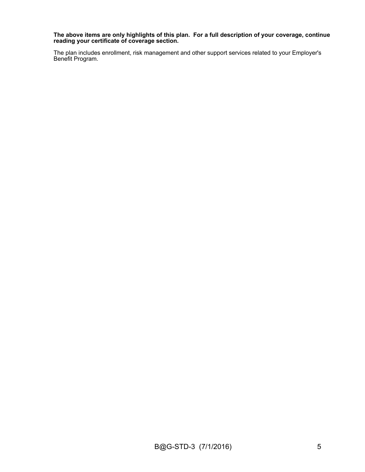**The above items are only highlights of this plan. For a full description of your coverage, continue reading your certificate of coverage section.**

The plan includes enrollment, risk management and other support services related to your Employer's Benefit Program.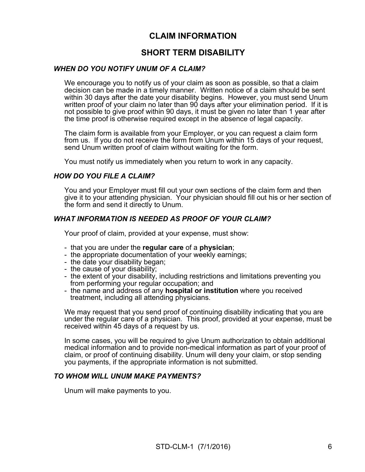# **CLAIM INFORMATION**

# **SHORT TERM DISABILITY**

# *WHEN DO YOU NOTIFY UNUM OF A CLAIM?*

We encourage you to notify us of your claim as soon as possible, so that a claim decision can be made in a timely manner. Written notice of a claim should be sent within 30 days after the date your disability begins. However, you must send Unum written proof of your claim no later than 90 days after your elimination period. If it is not possible to give proof within 90 days, it must be given no later than 1 year after the time proof is otherwise required except in the absence of legal capacity.

The claim form is available from your Employer, or you can request a claim form from us. If you do not receive the form from Unum within 15 days of your request, send Unum written proof of claim without waiting for the form.

You must notify us immediately when you return to work in any capacity.

### *HOW DO YOU FILE A CLAIM?*

You and your Employer must fill out your own sections of the claim form and then give it to your attending physician. Your physician should fill out his or her section of the form and send it directly to Unum.

# *WHAT INFORMATION IS NEEDED AS PROOF OF YOUR CLAIM?*

Your proof of claim, provided at your expense, must show:

- that you are under the **regular care** of a **physician**;
- the appropriate documentation of your weekly earnings;
- the date your disability began;
- the cause of your disability;
- the extent of your disability, including restrictions and limitations preventing you from performing your regular occupation; and
- the name and address of any **hospital or institution** where you received treatment, including all attending physicians.

We may request that you send proof of continuing disability indicating that you are under the regular care of a physician. This proof, provided at your expense, must be received within 45 days of a request by us.

In some cases, you will be required to give Unum authorization to obtain additional medical information and to provide non-medical information as part of your proof of claim, or proof of continuing disability. Unum will deny your claim, or stop sending you payments, if the appropriate information is not submitted.

### *TO WHOM WILL UNUM MAKE PAYMENTS?*

Unum will make payments to you.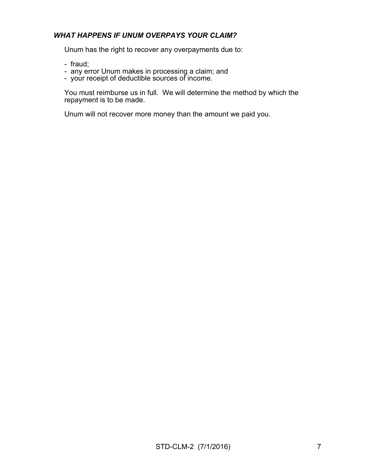# *WHAT HAPPENS IF UNUM OVERPAYS YOUR CLAIM?*

Unum has the right to recover any overpayments due to:

- fraud;
- any error Unum makes in processing a claim; and
- your receipt of deductible sources of income.

You must reimburse us in full. We will determine the method by which the repayment is to be made.

Unum will not recover more money than the amount we paid you.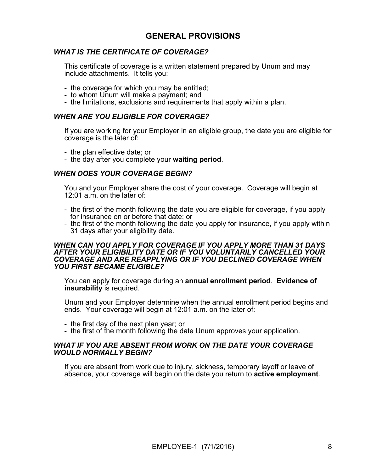# **GENERAL PROVISIONS**

# *WHAT IS THE CERTIFICATE OF COVERAGE?*

This certificate of coverage is a written statement prepared by Unum and may include attachments. It tells you:

- the coverage for which you may be entitled;
- to whom Unum will make a payment; and
- the limitations, exclusions and requirements that apply within a plan.

### *WHEN ARE YOU ELIGIBLE FOR COVERAGE?*

If you are working for your Employer in an eligible group, the date you are eligible for coverage is the later of:

- the plan effective date; or
- the day after you complete your **waiting period**.

# *WHEN DOES YOUR COVERAGE BEGIN?*

You and your Employer share the cost of your coverage. Coverage will begin at 12:01 a.m. on the later of:

- the first of the month following the date you are eligible for coverage, if you apply for insurance on or before that date; or
- the first of the month following the date you apply for insurance, if you apply within 31 days after your eligibility date.

#### *WHEN CAN YOU APPLY FOR COVERAGE IF YOU APPLY MORE THAN 31 DAYS AFTER YOUR ELIGIBILITY DATE OR IF YOU VOLUNTARILY CANCELLED YOUR COVERAGE AND ARE REAPPLYING OR IF YOU DECLINED COVERAGE WHEN YOU FIRST BECAME ELIGIBLE?*

You can apply for coverage during an **annual enrollment period**. **Evidence of insurability** is required.

Unum and your Employer determine when the annual enrollment period begins and ends. Your coverage will begin at 12:01 a.m. on the later of:

- the first day of the next plan year; or
- the first of the month following the date Unum approves your application.

#### *WHAT IF YOU ARE ABSENT FROM WORK ON THE DATE YOUR COVERAGE WOULD NORMALLY BEGIN?*

If you are absent from work due to injury, sickness, temporary layoff or leave of absence, your coverage will begin on the date you return to **active employment**.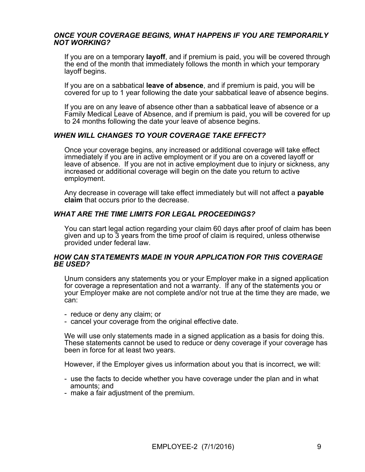### *ONCE YOUR COVERAGE BEGINS, WHAT HAPPENS IF YOU ARE TEMPORARILY NOT WORKING?*

If you are on a temporary **layoff**, and if premium is paid, you will be covered through the end of the month that immediately follows the month in which your temporary layoff begins.

If you are on a sabbatical **leave of absence**, and if premium is paid, you will be covered for up to 1 year following the date your sabbatical leave of absence begins.

If you are on any leave of absence other than a sabbatical leave of absence or a Family Medical Leave of Absence, and if premium is paid, you will be covered for up to 24 months following the date your leave of absence begins.

# *WHEN WILL CHANGES TO YOUR COVERAGE TAKE EFFECT?*

Once your coverage begins, any increased or additional coverage will take effect immediately if you are in active employment or if you are on a covered layoff or leave of absence. If you are not in active employment due to injury or sickness, any increased or additional coverage will begin on the date you return to active employment.

Any decrease in coverage will take effect immediately but will not affect a **payable claim** that occurs prior to the decrease.

# *WHAT ARE THE TIME LIMITS FOR LEGAL PROCEEDINGS?*

You can start legal action regarding your claim 60 days after proof of claim has been given and up to 3 years from the time proof of claim is required, unless otherwise provided under federal law.

#### *HOW CAN STATEMENTS MADE IN YOUR APPLICATION FOR THIS COVERAGE BE USED?*

Unum considers any statements you or your Employer make in a signed application for coverage a representation and not a warranty. If any of the statements you or your Employer make are not complete and/or not true at the time they are made, we can:

- reduce or deny any claim; or
- cancel your coverage from the original effective date.

We will use only statements made in a signed application as a basis for doing this. These statements cannot be used to reduce or deny coverage if your coverage has been in force for at least two years.

However, if the Employer gives us information about you that is incorrect, we will:

- use the facts to decide whether you have coverage under the plan and in what amounts; and
- make a fair adjustment of the premium.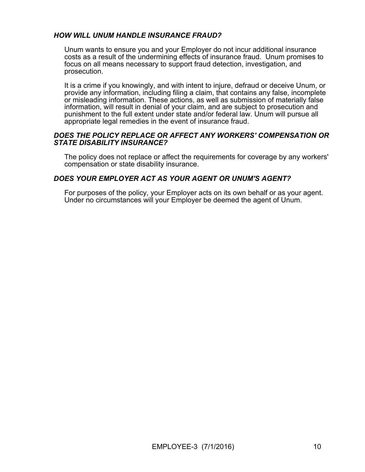# *HOW WILL UNUM HANDLE INSURANCE FRAUD?*

Unum wants to ensure you and your Employer do not incur additional insurance costs as a result of the undermining effects of insurance fraud. Unum promises to focus on all means necessary to support fraud detection, investigation, and prosecution.

It is a crime if you knowingly, and with intent to injure, defraud or deceive Unum, or provide any information, including filing a claim, that contains any false, incomplete or misleading information. These actions, as well as submission of materially false information, will result in denial of your claim, and are subject to prosecution and punishment to the full extent under state and/or federal law. Unum will pursue all appropriate legal remedies in the event of insurance fraud.

#### *DOES THE POLICY REPLACE OR AFFECT ANY WORKERS' COMPENSATION OR STATE DISABILITY INSURANCE?*

The policy does not replace or affect the requirements for coverage by any workers' compensation or state disability insurance.

# *DOES YOUR EMPLOYER ACT AS YOUR AGENT OR UNUM'S AGENT?*

For purposes of the policy, your Employer acts on its own behalf or as your agent. Under no circumstances will your Employer be deemed the agent of Unum.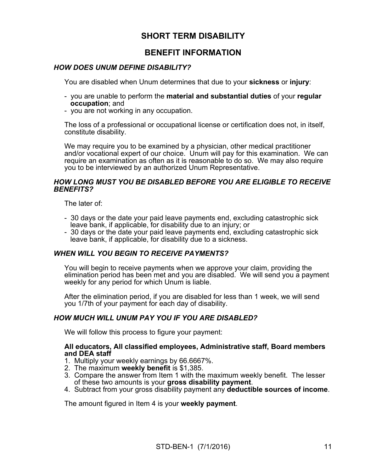# **SHORT TERM DISABILITY**

# **BENEFIT INFORMATION**

# *HOW DOES UNUM DEFINE DISABILITY?*

You are disabled when Unum determines that due to your **sickness** or **injury**:

- you are unable to perform the **material and substantial duties** of your **regular occupation**; and
- you are not working in any occupation.

The loss of a professional or occupational license or certification does not, in itself, constitute disability.

We may require you to be examined by a physician, other medical practitioner and/or vocational expert of our choice. Unum will pay for this examination. We can require an examination as often as it is reasonable to do so. We may also require you to be interviewed by an authorized Unum Representative.

### *HOW LONG MUST YOU BE DISABLED BEFORE YOU ARE ELIGIBLE TO RECEIVE BENEFITS?*

The later of:

- 30 days or the date your paid leave payments end, excluding catastrophic sick leave bank, if applicable, for disability due to an injury; or
- 30 days or the date your paid leave payments end, excluding catastrophic sick leave bank, if applicable, for disability due to a sickness.

# *WHEN WILL YOU BEGIN TO RECEIVE PAYMENTS?*

You will begin to receive payments when we approve your claim, providing the elimination period has been met and you are disabled. We will send you a payment weekly for any period for which Unum is liable.

After the elimination period, if you are disabled for less than 1 week, we will send you 1/7th of your payment for each day of disability.

# *HOW MUCH WILL UNUM PAY YOU IF YOU ARE DISABLED?*

We will follow this process to figure your payment:

#### **All educators, All classified employees, Administrative staff, Board members and DEA staff**

- 1. Multiply your weekly earnings by 66.6667%.
- 2. The maximum **weekly benefit** is \$1,385.
- 3. Compare the answer from Item 1 with the maximum weekly benefit. The lesser of these two amounts is your **gross disability payment**.
- 4. Subtract from your gross disability payment any **deductible sources of income**.

The amount figured in Item 4 is your **weekly payment**.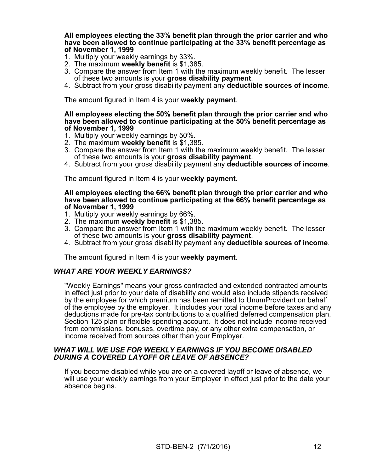**All employees electing the 33% benefit plan through the prior carrier and who have been allowed to continue participating at the 33% benefit percentage as of November 1, 1999**

- 1. Multiply your weekly earnings by 33%.
- 2. The maximum **weekly benefit** is \$1,385.
- 3. Compare the answer from Item 1 with the maximum weekly benefit. The lesser of these two amounts is your **gross disability payment**.
- 4. Subtract from your gross disability payment any **deductible sources of income**.

The amount figured in Item 4 is your **weekly payment**.

#### **All employees electing the 50% benefit plan through the prior carrier and who have been allowed to continue participating at the 50% benefit percentage as of November 1, 1999**

- 1. Multiply your weekly earnings by 50%.
- 2. The maximum **weekly benefit** is \$1,385.
- 3. Compare the answer from Item 1 with the maximum weekly benefit. The lesser of these two amounts is your **gross disability payment**.
- 4. Subtract from your gross disability payment any **deductible sources of income**.

The amount figured in Item 4 is your **weekly payment**.

#### **All employees electing the 66% benefit plan through the prior carrier and who have been allowed to continue participating at the 66% benefit percentage as of November 1, 1999**

- 1. Multiply your weekly earnings by 66%.
- 2. The maximum **weekly benefit** is \$1,385.
- 3. Compare the answer from Item 1 with the maximum weekly benefit. The lesser of these two amounts is your **gross disability payment**.
- 4. Subtract from your gross disability payment any **deductible sources of income**.

The amount figured in Item 4 is your **weekly payment**.

### *WHAT ARE YOUR WEEKLY EARNINGS?*

"Weekly Earnings" means your gross contracted and extended contracted amounts in effect just prior to your date of disability and would also include stipends received by the employee for which premium has been remitted to UnumProvident on behalf of the employee by the employer. It includes your total income before taxes and any deductions made for pre-tax contributions to a qualified deferred compensation plan, Section 125 plan or flexible spending account. It does not include income received from commissions, bonuses, overtime pay, or any other extra compensation, or income received from sources other than your Employer.

#### *WHAT WILL WE USE FOR WEEKLY EARNINGS IF YOU BECOME DISABLED DURING A COVERED LAYOFF OR LEAVE OF ABSENCE?*

If you become disabled while you are on a covered layoff or leave of absence, we will use your weekly earnings from your Employer in effect just prior to the date your absence begins.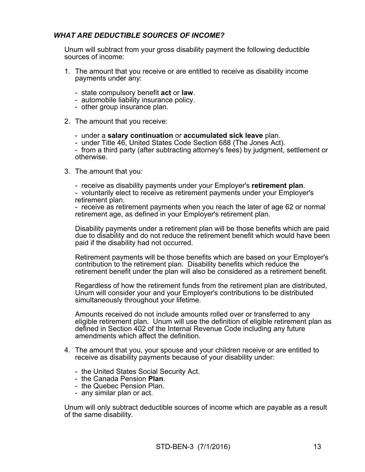# *WHAT ARE DEDUCTIBLE SOURCES OF INCOME?*

Unum will subtract from your gross disability payment the following deductible sources of income:

- <span id="page-14-0"></span>1. The amount that you receive or are entitled to receive as disability income payments under any:
	- state compulsory benefit **act** or **law**.
	- automobile liability insurance policy.
	- other group insurance plan.
- 2. The amount that you receive:
	- under a **salary continuation** or **accumulated sick leave** plan.
	- under Title 46, United States Code Section 688 (The Jones Act).

- from a third party (after subtracting attorney's fees) by judgment, settlement or otherwise.

- 3. The amount that you:
	- receive as disability payments under your Employer's **retirement plan**.
	- voluntarily elect to receive as retirement payments under your Employer's retirement plan.

- receive as retirement payments when you reach the later of age 62 or normal retirement age, as defined in your Employer's retirement plan.

Disability payments under a retirement plan will be those benefits which are paid due to disability and do not reduce the retirement benefit which would have been paid if the disability had not occurred.

Retirement payments will be those benefits which are based on your Employer's contribution to the retirement plan. Disability benefits which reduce the retirement benefit under the plan will also be considered as a retirement benefit.

Regardless of how the retirement funds from the retirement plan are distributed, Unum will consider your and your Employer's contributions to be distributed simultaneously throughout your lifetime.

Amounts received do not include amounts rolled over or transferred to any eligible retirement plan. Unum will use the definition of eligible retirement plan as defined in Section 402 of the Internal Revenue Code including any future amendments which affect the definition.

- <span id="page-14-1"></span>4. The amount that you, your spouse and your children receive or are entitled to receive as disability payments because of your disability under:
	- the United States Social Security Act.
	- the Canada Pension **Plan**.
	- the Quebec Pension Plan.
	- any similar plan or act.

Unum will only subtract deductible sources of income which are payable as a result of the same disability.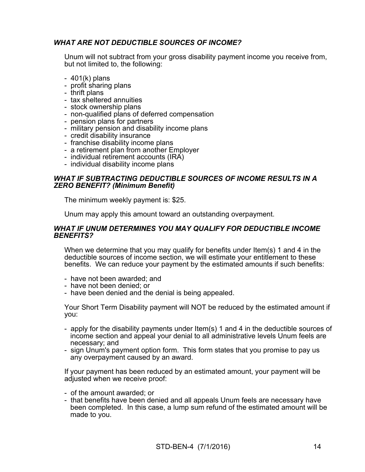# *WHAT ARE NOT DEDUCTIBLE SOURCES OF INCOME?*

Unum will not subtract from your gross disability payment income you receive from, but not limited to, the following:

- 401(k) plans
- profit sharing plans
- thrift plans
- tax sheltered annuities
- stock ownership plans
- non-qualified plans of deferred compensation
- pension plans for partners
- military pension and disability income plans
- credit disability insurance
- franchise disability income plans
- a retirement plan from another Employer
- individual retirement accounts (IRA)
- individual disability income plans

### *WHAT IF SUBTRACTING DEDUCTIBLE SOURCES OF INCOME RESULTS IN A ZERO BENEFIT? (Minimum Benefit)*

The minimum weekly payment is: \$25.

Unum may apply this amount toward an outstanding overpayment.

#### *WHAT IF UNUM DETERMINES YOU MAY QUALIFY FOR DEDUCTIBLE INCOME BENEFITS?*

When we determine that you may qualify for benefits under Item(s) [1](#page-14-0) and [4](#page-14-1) in the deductible sources of income section, we will estimate your entitlement to these benefits. We can reduce your payment by the estimated amounts if such benefits:

- have not been awarded; and
- have not been denied; or
- have been denied and the denial is being appealed.

Your Short Term Disability payment will NOT be reduced by the estimated amount if you:

- apply for the disability payments under Item(s) [1](#page-14-0) and [4](#page-14-1) in the deductible sources of income section and appeal your denial to all administrative levels Unum feels are necessary; and
- sign Unum's payment option form. This form states that you promise to pay us any overpayment caused by an award.

If your payment has been reduced by an estimated amount, your payment will be adjusted when we receive proof:

- of the amount awarded; or
- that benefits have been denied and all appeals Unum feels are necessary have been completed. In this case, a lump sum refund of the estimated amount will be made to you.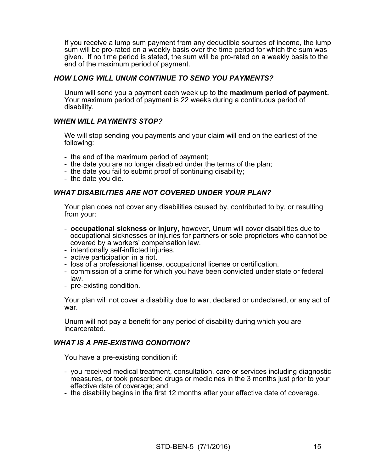If you receive a lump sum payment from any deductible sources of income, the lump sum will be pro-rated on a weekly basis over the time period for which the sum was given. If no time period is stated, the sum will be pro-rated on a weekly basis to the end of the maximum period of payment.

# *HOW LONG WILL UNUM CONTINUE TO SEND YOU PAYMENTS?*

Unum will send you a payment each week up to the **maximum period of payment.** Your maximum period of payment is 22 weeks during a continuous period of disability.

# *WHEN WILL PAYMENTS STOP?*

We will stop sending you payments and your claim will end on the earliest of the following:

- the end of the maximum period of payment;
- the date you are no longer disabled under the terms of the plan;
- the date you fail to submit proof of continuing disability;
- the date you die.

# *WHAT DISABILITIES ARE NOT COVERED UNDER YOUR PLAN?*

Your plan does not cover any disabilities caused by, contributed to by, or resulting from your:

- **occupational sickness or injury**, however, Unum will cover disabilities due to occupational sicknesses or injuries for partners or sole proprietors who cannot be covered by a workers' compensation law.
- intentionally self-inflicted injuries.
- active participation in a riot.
- loss of a professional license, occupational license or certification.
- commission of a crime for which you have been convicted under state or federal law.
- pre-existing condition.

Your plan will not cover a disability due to war, declared or undeclared, or any act of war.

Unum will not pay a benefit for any period of disability during which you are incarcerated.

### *WHAT IS A PRE-EXISTING CONDITION?*

You have a pre-existing condition if:

- you received medical treatment, consultation, care or services including diagnostic measures, or took prescribed drugs or medicines in the 3 months just prior to your effective date of coverage; and
- the disability begins in the first 12 months after your effective date of coverage.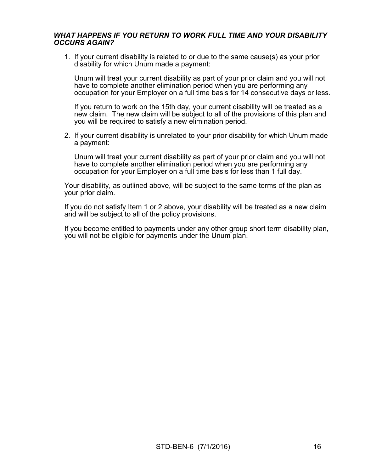## *WHAT HAPPENS IF YOU RETURN TO WORK FULL TIME AND YOUR DISABILITY OCCURS AGAIN?*

1. If your current disability is related to or due to the same cause(s) as your prior disability for which Unum made a payment:

 Unum will treat your current disability as part of your prior claim and you will not have to complete another elimination period when you are performing any occupation for your Employer on a full time basis for 14 consecutive days or less.

 If you return to work on the 15th day, your current disability will be treated as a new claim. The new claim will be subject to all of the provisions of this plan and you will be required to satisfy a new elimination period.

2. If your current disability is unrelated to your prior disability for which Unum made a payment:

 Unum will treat your current disability as part of your prior claim and you will not have to complete another elimination period when you are performing any occupation for your Employer on a full time basis for less than 1 full day.

Your disability, as outlined above, will be subject to the same terms of the plan as your prior claim.

If you do not satisfy Item 1 or 2 above, your disability will be treated as a new claim and will be subject to all of the policy provisions.

If you become entitled to payments under any other group short term disability plan, you will not be eligible for payments under the Unum plan.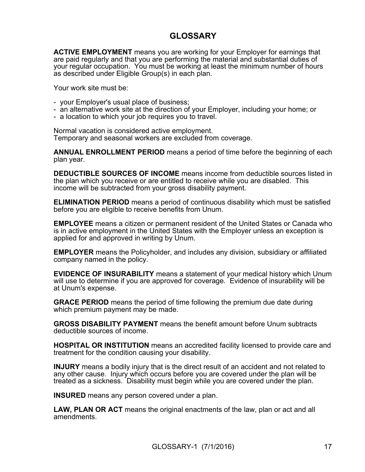# **GLOSSARY**

**ACTIVE EMPLOYMENT** means you are working for your Employer for earnings that are paid regularly and that you are performing the material and substantial duties of your regular occupation. You must be working at least the minimum number of hours as described under Eligible Group(s) in each plan.

Your work site must be:

- your Employer's usual place of business;
- an alternative work site at the direction of your Employer, including your home; or
- a location to which your job requires you to travel.

Normal vacation is considered active employment. Temporary and seasonal workers are excluded from coverage.

**ANNUAL ENROLLMENT PERIOD** means a period of time before the beginning of each plan year.

**DEDUCTIBLE SOURCES OF INCOME** means income from deductible sources listed in the plan which you receive or are entitled to receive while you are disabled. This income will be subtracted from your gross disability payment.

**ELIMINATION PERIOD** means a period of continuous disability which must be satisfied before you are eligible to receive benefits from Unum.

**EMPLOYEE** means a citizen or permanent resident of the United States or Canada who is in active employment in the United States with the Employer unless an exception is applied for and approved in writing by Unum.

**EMPLOYER** means the Policyholder, and includes any division, subsidiary or affiliated company named in the policy.

**EVIDENCE OF INSURABILITY** means a statement of your medical history which Unum will use to determine if you are approved for coverage. Evidence of insurability will be at Unum's expense.

**GRACE PERIOD** means the period of time following the premium due date during which premium payment may be made.

**GROSS DISABILITY PAYMENT** means the benefit amount before Unum subtracts deductible sources of income.

**HOSPITAL OR INSTITUTION** means an accredited facility licensed to provide care and treatment for the condition causing your disability.

**INJURY** means a bodily injury that is the direct result of an accident and not related to any other cause. Injury which occurs before you are covered under the plan will be treated as a sickness. Disability must begin while you are covered under the plan.

**INSURED** means any person covered under a plan.

**LAW, PLAN OR ACT** means the original enactments of the law, plan or act and all amendments.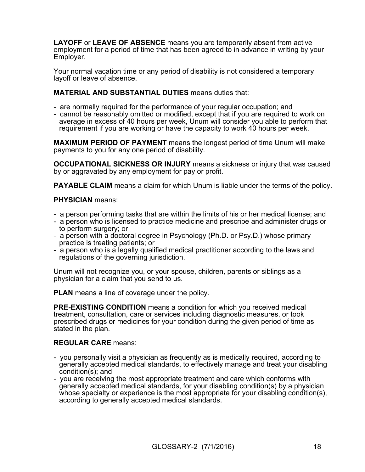**LAYOFF** or **LEAVE OF ABSENCE** means you are temporarily absent from active employment for a period of time that has been agreed to in advance in writing by your Employer.

Your normal vacation time or any period of disability is not considered a temporary layoff or leave of absence.

**MATERIAL AND SUBSTANTIAL DUTIES** means duties that:

- are normally required for the performance of your regular occupation; and
- cannot be reasonably omitted or modified, except that if you are required to work on average in excess of 40 hours per week, Unum will consider you able to perform that requirement if you are working or have the capacity to work 40 hours per week.

**MAXIMUM PERIOD OF PAYMENT** means the longest period of time Unum will make payments to you for any one period of disability.

**OCCUPATIONAL SICKNESS OR INJURY** means a sickness or injury that was caused by or aggravated by any employment for pay or profit.

**PAYABLE CLAIM** means a claim for which Unum is liable under the terms of the policy.

### **PHYSICIAN** means:

- a person performing tasks that are within the limits of his or her medical license; and
- a person who is licensed to practice medicine and prescribe and administer drugs or to perform surgery; or
- a person with a doctoral degree in Psychology (Ph.D. or Psy.D.) whose primary practice is treating patients; or
- a person who is a legally qualified medical practitioner according to the laws and regulations of the governing jurisdiction.

Unum will not recognize you, or your spouse, children, parents or siblings as a physician for a claim that you send to us.

**PLAN** means a line of coverage under the policy.

**PRE-EXISTING CONDITION** means a condition for which you received medical treatment, consultation, care or services including diagnostic measures, or took prescribed drugs or medicines for your condition during the given period of time as stated in the plan.

# **REGULAR CARE** means:

- you personally visit a physician as frequently as is medically required, according to generally accepted medical standards, to effectively manage and treat your disabling condition(s); and
- you are receiving the most appropriate treatment and care which conforms with generally accepted medical standards, for your disabling condition(s) by a physician whose specialty or experience is the most appropriate for your disabling condition(s), according to generally accepted medical standards.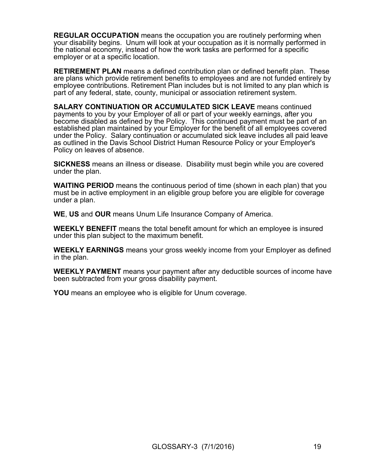**REGULAR OCCUPATION** means the occupation you are routinely performing when your disability begins. Unum will look at your occupation as it is normally performed in the national economy, instead of how the work tasks are performed for a specific employer or at a specific location.

**RETIREMENT PLAN** means a defined contribution plan or defined benefit plan. These are plans which provide retirement benefits to employees and are not funded entirely by employee contributions. Retirement Plan includes but is not limited to any plan which is part of any federal, state, county, municipal or association retirement system.

**SALARY CONTINUATION OR ACCUMULATED SICK LEAVE** means continued payments to you by your Employer of all or part of your weekly earnings, after you become disabled as defined by the Policy. This continued payment must be part of an established plan maintained by your Employer for the benefit of all employees covered under the Policy. Salary continuation or accumulated sick leave includes all paid leave as outlined in the Davis School District Human Resource Policy or your Employer's Policy on leaves of absence.

**SICKNESS** means an illness or disease. Disability must begin while you are covered under the plan.

**WAITING PERIOD** means the continuous period of time (shown in each plan) that you must be in active employment in an eligible group before you are eligible for coverage under a plan.

**WE**, **US** and **OUR** means Unum Life Insurance Company of America.

**WEEKLY BENEFIT** means the total benefit amount for which an employee is insured under this plan subject to the maximum benefit.

**WEEKLY EARNINGS** means your gross weekly income from your Employer as defined in the plan.

**WEEKLY PAYMENT** means your payment after any deductible sources of income have been subtracted from your gross disability payment.

**YOU** means an employee who is eligible for Unum coverage.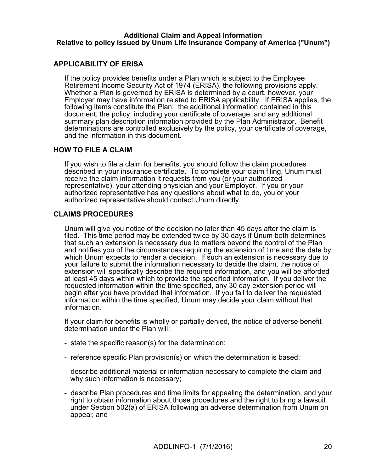#### **Additional Claim and Appeal Information Relative to policy issued by Unum Life Insurance Company of America ("Unum")**

# **APPLICABILITY OF ERISA**

If the policy provides benefits under a Plan which is subject to the Employee Retirement Income Security Act of 1974 (ERISA), the following provisions apply. Whether a Plan is governed by ERISA is determined by a court, however, your Employer may have information related to ERISA applicability. If ERISA applies, the following items constitute the Plan: the additional information contained in this document, the policy, including your certificate of coverage, and any additional summary plan description information provided by the Plan Administrator. Benefit determinations are controlled exclusively by the policy, your certificate of coverage, and the information in this document.

### **HOW TO FILE A CLAIM**

If you wish to file a claim for benefits, you should follow the claim procedures described in your insurance certificate. To complete your claim filing, Unum must receive the claim information it requests from you (or your authorized representative), your attending physician and your Employer. If you or your authorized representative has any questions about what to do, you or your authorized representative should contact Unum directly.

# **CLAIMS PROCEDURES**

Unum will give you notice of the decision no later than 45 days after the claim is filed. This time period may be extended twice by 30 days if Unum both determines that such an extension is necessary due to matters beyond the control of the Plan and notifies you of the circumstances requiring the extension of time and the date by which Unum expects to render a decision. If such an extension is necessary due to your failure to submit the information necessary to decide the claim, the notice of extension will specifically describe the required information, and you will be afforded at least 45 days within which to provide the specified information. If you deliver the requested information within the time specified, any 30 day extension period will begin after you have provided that information. If you fail to deliver the requested information within the time specified, Unum may decide your claim without that information.

If your claim for benefits is wholly or partially denied, the notice of adverse benefit determination under the Plan will:

- state the specific reason(s) for the determination;
- reference specific Plan provision(s) on which the determination is based;
- describe additional material or information necessary to complete the claim and why such information is necessary;
- describe Plan procedures and time limits for appealing the determination, and your right to obtain information about those procedures and the right to bring a lawsuit under Section 502(a) of ERISA following an adverse determination from Unum on appeal; and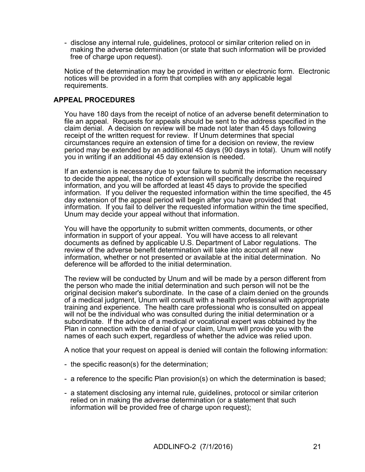- disclose any internal rule, guidelines, protocol or similar criterion relied on in making the adverse determination (or state that such information will be provided free of charge upon request).

Notice of the determination may be provided in written or electronic form. Electronic notices will be provided in a form that complies with any applicable legal requirements.

# **APPEAL PROCEDURES**

You have 180 days from the receipt of notice of an adverse benefit determination to file an appeal. Requests for appeals should be sent to the address specified in the claim denial. A decision on review will be made not later than 45 days following receipt of the written request for review. If Unum determines that special circumstances require an extension of time for a decision on review, the review period may be extended by an additional 45 days (90 days in total). Unum will notify you in writing if an additional 45 day extension is needed.

If an extension is necessary due to your failure to submit the information necessary to decide the appeal, the notice of extension will specifically describe the required information, and you will be afforded at least 45 days to provide the specified information. If you deliver the requested information within the time specified, the 45 day extension of the appeal period will begin after you have provided that information. If you fail to deliver the requested information within the time specified, Unum may decide your appeal without that information.

You will have the opportunity to submit written comments, documents, or other information in support of your appeal. You will have access to all relevant documents as defined by applicable U.S. Department of Labor regulations. The review of the adverse benefit determination will take into account all new information, whether or not presented or available at the initial determination. No deference will be afforded to the initial determination.

The review will be conducted by Unum and will be made by a person different from the person who made the initial determination and such person will not be the original decision maker's subordinate. In the case of a claim denied on the grounds of a medical judgment, Unum will consult with a health professional with appropriate training and experience. The health care professional who is consulted on appeal will not be the individual who was consulted during the initial determination or a subordinate. If the advice of a medical or vocational expert was obtained by the Plan in connection with the denial of your claim, Unum will provide you with the names of each such expert, regardless of whether the advice was relied upon.

A notice that your request on appeal is denied will contain the following information:

- the specific reason(s) for the determination;
- a reference to the specific Plan provision(s) on which the determination is based;
- a statement disclosing any internal rule, guidelines, protocol or similar criterion relied on in making the adverse determination (or a statement that such information will be provided free of charge upon request);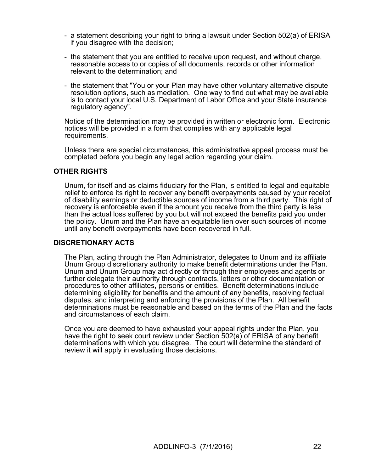- a statement describing your right to bring a lawsuit under Section 502(a) of ERISA if you disagree with the decision;
- the statement that you are entitled to receive upon request, and without charge, reasonable access to or copies of all documents, records or other information relevant to the determination; and
- the statement that "You or your Plan may have other voluntary alternative dispute resolution options, such as mediation. One way to find out what may be available is to contact your local U.S. Department of Labor Office and your State insurance regulatory agency".

Notice of the determination may be provided in written or electronic form. Electronic notices will be provided in a form that complies with any applicable legal requirements.

Unless there are special circumstances, this administrative appeal process must be completed before you begin any legal action regarding your claim.

# **OTHER RIGHTS**

Unum, for itself and as claims fiduciary for the Plan, is entitled to legal and equitable relief to enforce its right to recover any benefit overpayments caused by your receipt of disability earnings or deductible sources of income from a third party. This right of recovery is enforceable even if the amount you receive from the third party is less than the actual loss suffered by you but will not exceed the benefits paid you under the policy. Unum and the Plan have an equitable lien over such sources of income until any benefit overpayments have been recovered in full.

### **DISCRETIONARY ACTS**

The Plan, acting through the Plan Administrator, delegates to Unum and its affiliate Unum Group discretionary authority to make benefit determinations under the Plan. Unum and Unum Group may act directly or through their employees and agents or further delegate their authority through contracts, letters or other documentation or procedures to other affiliates, persons or entities. Benefit determinations include determining eligibility for benefits and the amount of any benefits, resolving factual disputes, and interpreting and enforcing the provisions of the Plan. All benefit determinations must be reasonable and based on the terms of the Plan and the facts and circumstances of each claim.

Once you are deemed to have exhausted your appeal rights under the Plan, you have the right to seek court review under Section 502(a) of ERISA of any benefit determinations with which you disagree. The court will determine the standard of review it will apply in evaluating those decisions.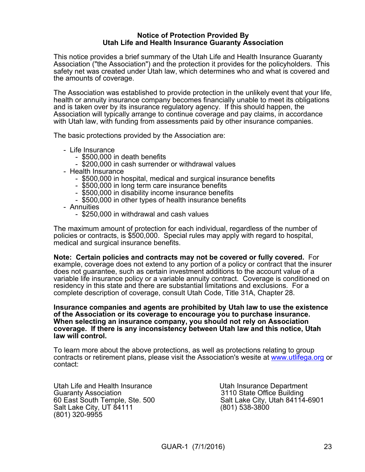#### **Notice of Protection Provided By Utah Life and Health Insurance Guaranty Association**

This notice provides a brief summary of the Utah Life and Health Insurance Guaranty Association ("the Association") and the protection it provides for the policyholders. This safety net was created under Utah law, which determines who and what is covered and the amounts of coverage.

The Association was established to provide protection in the unlikely event that your life, health or annuity insurance company becomes financially unable to meet its obligations and is taken over by its insurance regulatory agency. If this should happen, the Association will typically arrange to continue coverage and pay claims, in accordance with Utah law, with funding from assessments paid by other insurance companies.

The basic protections provided by the Association are:

- Life Insurance
	- \$500,000 in death benefits
	- \$200,000 in cash surrender or withdrawal values
- Health Insurance
	- \$500,000 in hospital, medical and surgical insurance benefits
	- \$500,000 in long term care insurance benefits
	- \$500,000 in disability income insurance benefits
	- \$500,000 in other types of health insurance benefits
- Annuities
	- \$250,000 in withdrawal and cash values

The maximum amount of protection for each individual, regardless of the number of policies or contracts, is \$500,000. Special rules may apply with regard to hospital, medical and surgical insurance benefits.

**Note: Certain policies and contracts may not be covered or fully covered.** For example, coverage does not extend to any portion of a policy or contract that the insurer does not guarantee, such as certain investment additions to the account value of a variable life insurance policy or a variable annuity contract. Coverage is conditioned on residency in this state and there are substantial limitations and exclusions. For a complete description of coverage, consult Utah Code, Title 31A, Chapter 28.

#### **Insurance companies and agents are prohibited by Utah law to use the existence of the Association or its coverage to encourage you to purchase insurance. When selecting an insurance company, you should not rely on Association coverage. If there is any inconsistency between Utah law and this notice, Utah law will control.**

To learn more about the above protections, as well as protections relating to group contracts or retirement plans, please visit the Association's wesite at [www.utlifega.org](http://www.utlifega.org/) or contact:

Utah Life and Health Insurance **Internal Communist Communist Cleanue Constants Utah Insurance Department** Guaranty Association<br>
60 East South Temple, Ste. 500 Salt Lake City, Utah 84114 Salt Lake City, UT 84111 (801) 538-3800 (801) 320-9955

Salt Lake City, Utah 84114-6901